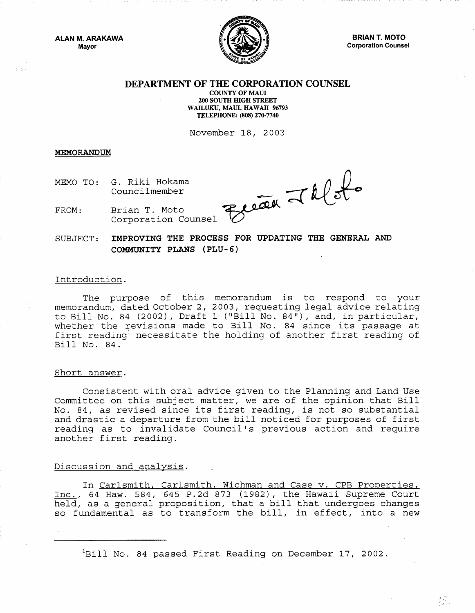**ALAN M. ARAKAWA Mayor** 



**BRIAN T. MOTO Corporation Counsel** 

芬

## **DEPARTMENT OF THE CORPORATION COUNSEL**

**COUNTY OF MAUl 200 SOUTH HIGH STREET WAILUKU, MAUl, HAWAII 96793 TELEPHONE: (808) 270-7740** 

November 18, 2003

**MEMORANDUM** 

MEMO TO: G. Riki Hokama Councilmember

Because Jalots

FROM: Brian T. Moto Corporation Counsel

SUBJECT: **IMPROVING THE PROCESS FOR UPDATING THE GENERAL AND COMMUNITY PLANS (PLU-6)** 

## Introduction.

The purpose of this memorandum is to respond to your memorandum, dated October 2, 2003, requesting legal advice relating to Bill No. 84 (2002), Draft 1 ("Bill No. 84"), and, in particular, whether the revisions made to Bill No. 84 since its passage at first reading<sup>1</sup> necessitate the holding of another first reading of Bill No. 84.

## Short answer.

Consistent with oral advice given to the Planning and Land Use Committee on this subject matter, we are of the opinion that Bill No. 84, as revised since its first reading, is not so substantial and drastic a departure from the bill noticed for purposes of first reading as to invalidate Council's previous action and require another first reading.

## Discussion and analysis.

In Carlsmith, Carlsmith, Wichman and Case v. CPB Properties, Inc., 64 Haw. 584, 645 P.2d 873 (1982), the Hawaii Supreme Court held, as a general proposition, that a bill that undergoes changes so fundamental as to transform the bill, in effect, into a new

 $\mathrm{H}\text{Bill}$  No. 84 passed First Reading on December 17, 2002.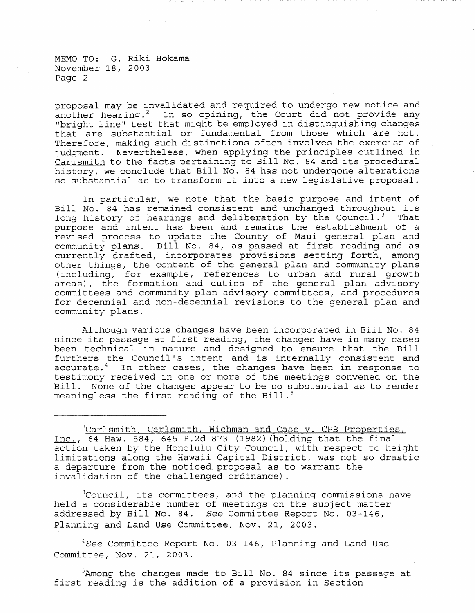MEMO TO: G. Riki Hokama November *18* <sup>1</sup>*2003*  Page 2

proposal may be invalidated and required to undergo new notice and another hearing.<sup>2</sup> In so opining, the Court did not provide any "bright line" test that might be employed in distinguishing changes that are substantial or fundamental from those which are not. Therefore, making such distinctions often involves the exercise of judgment. Nevertheless, when applying the principles outlined in Carlsmith to the facts pertaining to Bill No. 84 and its procedural history, we conclude that Bill No. 84 has not undergone alterations so substantial as to transform it into a new legislative proposal.

In particular, we note that the basic purpose and intent of Bill No. 84 has remained consistent and unchanged throughout its long history of hearings and deliberation by the Council.<sup>3</sup> That purpose and intent has been and remains the establishment of a revised process to update the County of Maui general plan and community plans. Bill No. 84, as passed at first reading and as currently drafted, incorporates provisions setting forth, among other things, the content of the general plan and community plans (including, for example, references to urban and rural growth areas), the formation and duties of the general plan advisory committees and community plan advisory committees, and procedures for decennial and non-decennial revisions to the general plan and community plans.

Although various changes have been incorporated in Bill No. 84 since its passage at first reading, the changes have in many cases been technical in nature and designed to ensure that the Bill furthers the Council's intent and is internally consistent and accurate.<sup>4</sup> In other cases, the changes have been in response to In other cases, the changes have been in response to testimony received in one or more of the meetings convened on the Bill. None of the changes appear to be so substantial as to render meaningless the first reading of the Bill. $5$ 

 $2$ Carlsmith, Carlsmith, Wichman and Case v. CPB Properties, Inc., 64 Haw. 584, 645 P.2d 873 (1982) (holding that the final action taken by the Honolulu City Council, with respect to height limitations along the Hawaii Capital District, was not so drastic a departure from the noticed proposal as to warrant the invalidation of the challenged ordinance) .

<sup>3</sup>Council, its committees, and the planning commissions have held a considerable number of meetings on the subject matter addressed by Bill No. 84. *See* Committee Report No. 03 146, Planning and Land Use Committee, Nov. 21, 2003.

*4See* Committee Report No. 03-146/ Planning and Land Use Committee, Nov. 21, 2003.

5Among the changes made to Bill No. 84 since its passage at first reading is the addition of a provision in Section